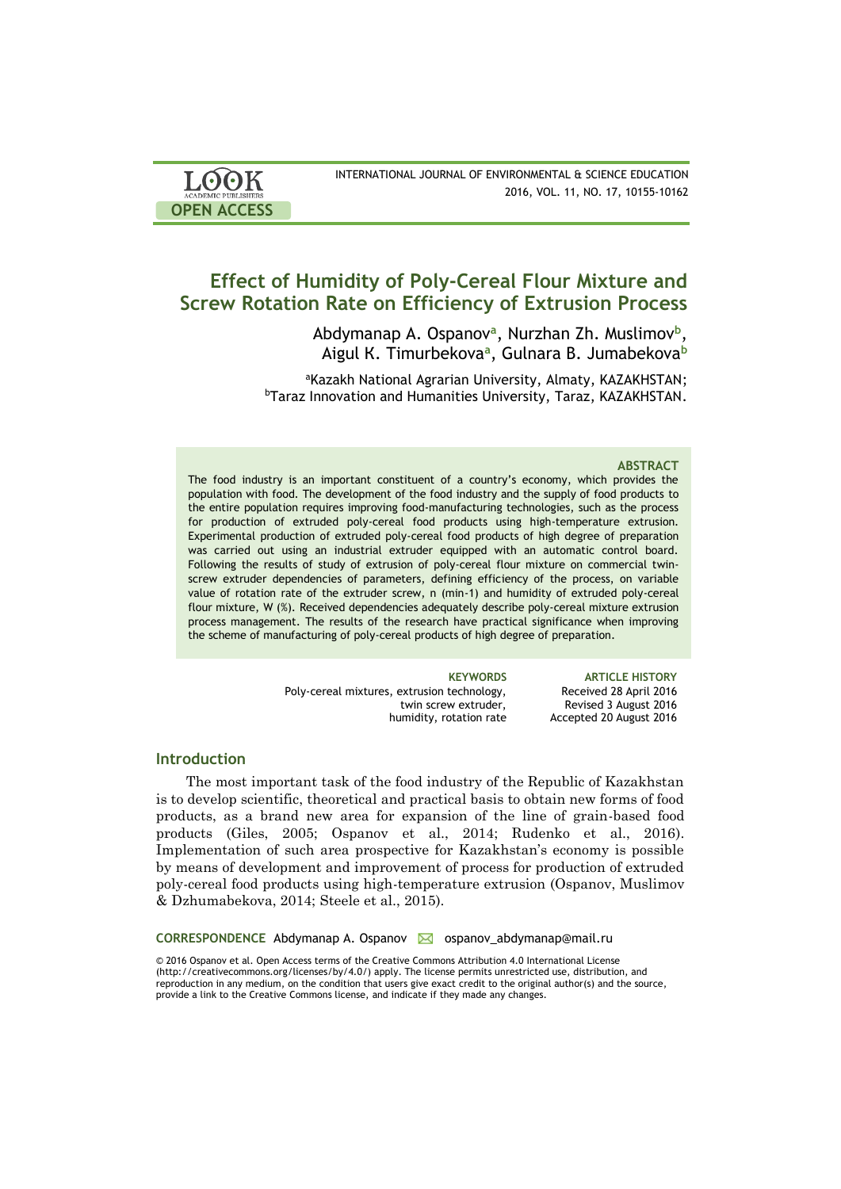| <b>LOOK</b>                | INTERNATIONAL JOURNAL OF ENVIRONMENTAL & SCIENCE EDUCATION |
|----------------------------|------------------------------------------------------------|
| <b>ACADEMIC PUBLISHERS</b> | 2016, VOL. 11, NO. 17, 10155-10162                         |
| <b>OPEN ACCESS</b>         |                                                            |

# **Effect of Humidity of Poly-Cereal Flour Mixture and Screw Rotation Rate on Efficiency of Extrusion Process**

Аbdymanap А. Ospanov**<sup>a</sup>** , Nurzhan Zh. Muslimov**<sup>b</sup>** , Аigul К. Timurbekova**<sup>a</sup>** , Gulnarа B. Jumabekova**<sup>b</sup>**

aKazakh National Agrarian University, Almaty, KAZAKHSTAN; <sup>b</sup>Taraz Innovation and Humanities University, Taraz, KAZAKHSTAN.

### **ABSTRACT**

The food industry is an important constituent of a country's economy, which provides the population with food. The development of the food industry and the supply of food products to the entire population requires improving food-manufacturing technologies, such as the process for production of extruded poly-cereal food products using high-temperature extrusion. Experimental production of extruded poly-cereal food products of high degree of preparation was carried out using an industrial extruder equipped with an automatic control board. Following the results of study of extrusion of poly-cereal flour mixture on commercial twinscrew extruder dependencies of parameters, defining efficiency of the process, on variable value of rotation rate of the extruder screw, n (min-1) and humidity of extruded poly-cereal flour mixture, W (%). Received dependencies adequately describe poly-cereal mixture extrusion process management. The results of the research have practical significance when improving the scheme of manufacturing of poly-cereal products of high degree of preparation.

> **KEYWORDS ARTICLE HISTORY** Poly-cereal mixtures, extrusion technology, twin screw extruder, humidity, rotation rate Received 28 April 2016 Revised 3 August 2016 Accepted 20 August 2016

## **Introduction**

The most important task of the food industry of the Republic of Kazakhstan is to develop scientific, theoretical and practical basis to obtain new forms of food products, as a brand new area for expansion of the line of grain-based food products (Giles, 2005; Ospanov et al., 2014; Rudenko et al., 2016). Implementation of such area prospective for Kazakhstan's economy is possible by means of development and improvement of process for production of extruded poly-cereal food products using high-temperature extrusion (Ospanov, Muslimov & Dzhumabekova, 2014; Steele et al., 2015).

**CORRESPONDENCE** Abdymanap A. Ospanov **M** ospanov abdymanap@mail.ru

© 2016 Ospanov et al. Open Access terms of the Creative Commons Attribution 4.0 International License (http://creativecommons.org/licenses/by/4.0/) apply. The license permits unrestricted use, distribution, and reproduction in any medium, on the condition that users give exact credit to the original author(s) and the source, provide a link to the Creative Commons license, and indicate if they made any changes.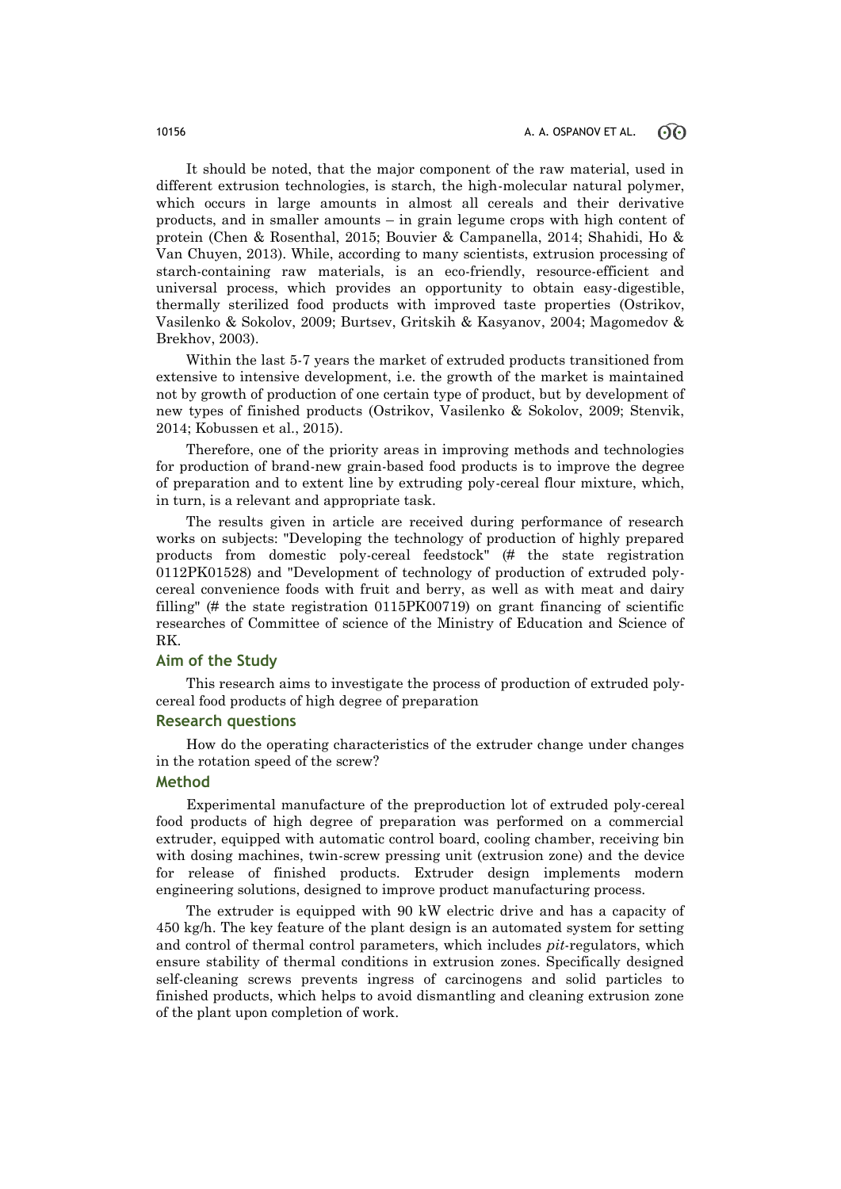It should be noted, that the major component of the raw material, used in different extrusion technologies, is starch, the high-molecular natural polymer, which occurs in large amounts in almost all cereals and their derivative products, and in smaller amounts – in grain legume crops with high content of protein (Chen & Rosenthal, 2015; Bouvier & Campanella, 2014; Shahidi, Ho & Van Chuyen, 2013). While, according to many scientists, extrusion processing of starch-containing raw materials, is an eco-friendly, resource-efficient and universal process, which provides an opportunity to obtain easy-digestible, thermally sterilized food products with improved taste properties (Ostrikov, Vasilenko & Sokolov, 2009; Burtsev, Gritskih & Kasyanov, 2004; Magomedov & Brekhov, 2003).

Within the last 5-7 years the market of extruded products transitioned from extensive to intensive development, i.e. the growth of the market is maintained not by growth of production of one certain type of product, but by development of new types of finished products (Ostrikov, Vasilenko & Sokolov, 2009; Stenvik, 2014; Kobussen et al., 2015).

Therefore, one of the priority areas in improving methods and technologies for production of brand-new grain-based food products is to improve the degree of preparation and to extent line by extruding poly-cereal flour mixture, which, in turn, is a relevant and appropriate task.

The results given in article are received during performance of research works on subjects: "Developing the technology of production of highly prepared products from domestic poly-cereal feedstock" (# the state registration 0112PK01528) and "Development of technology of production of extruded polycereal convenience foods with fruit and berry, as well as with meat and dairy filling" (# the state registration 0115PK00719) on grant financing of scientific researches of Committee of science of the Ministry of Education and Science of RK.

# **Aim of the Study**

This research aims to investigate the process of production of extruded polycereal food products of high degree of preparation

# **Research questions**

How do the operating characteristics of the extruder change under changes in the rotation speed of the screw?

# **Method**

Experimental manufacture of the preproduction lot of extruded poly-cereal food products of high degree of preparation was performed on a commercial extruder, equipped with automatic control board, cooling chamber, receiving bin with dosing machines, twin-screw pressing unit (extrusion zone) and the device for release of finished products. Extruder design implements modern engineering solutions, designed to improve product manufacturing process.

The extruder is equipped with 90 kW electric drive and has a capacity of 450 kg/h. The key feature of the plant design is an automated system for setting and control of thermal control parameters, which includes *pit*-regulators, which ensure stability of thermal conditions in extrusion zones. Specifically designed self-cleaning screws prevents ingress of carcinogens and solid particles to finished products, which helps to avoid dismantling and cleaning extrusion zone of the plant upon completion of work.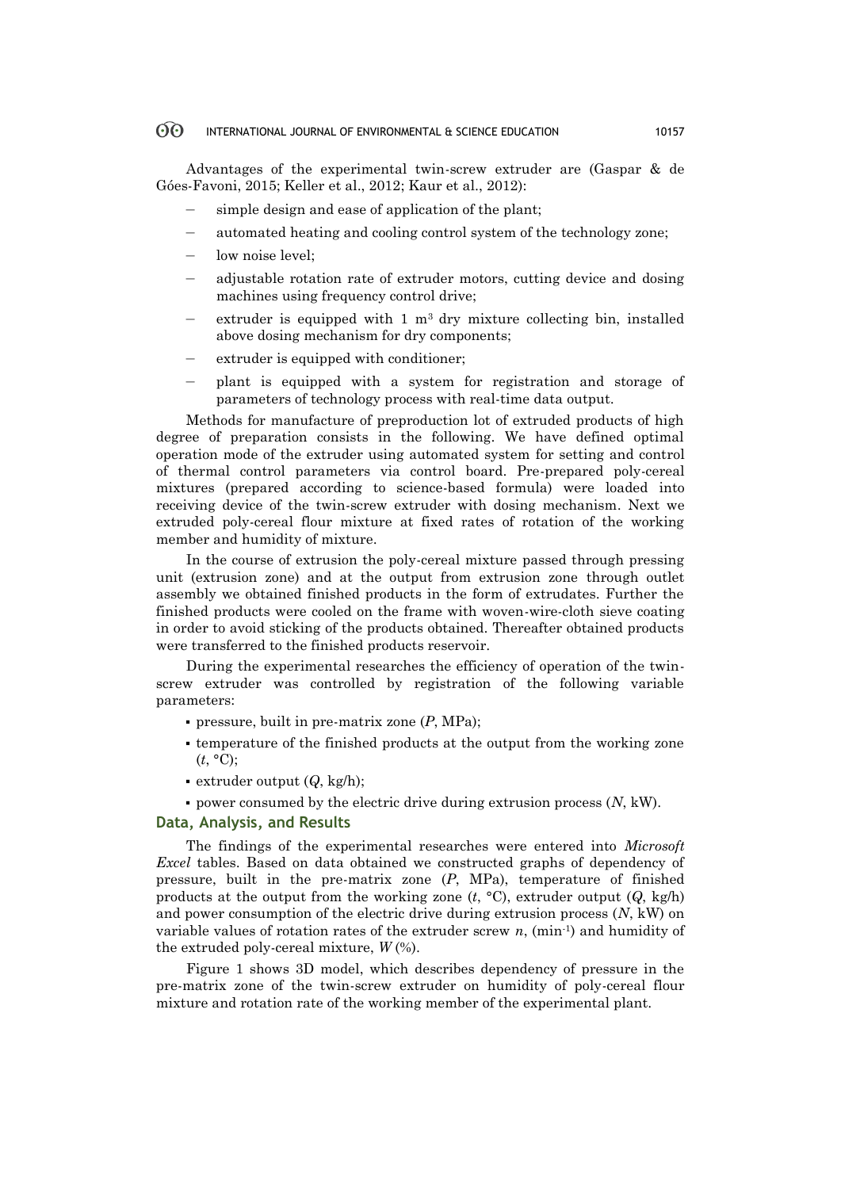#### $\odot$ INTERNATIONAL JOURNAL OF ENVIRONMENTAL & SCIENCE EDUCATION 10157

Advantages of the experimental twin-screw extruder are (Gaspar & de Góes-Favoni, 2015; Keller et al., 2012; Kaur et al., 2012):

- simple design and ease of application of the plant;
- automated heating and cooling control system of the technology zone;
- low noise level:
- adjustable rotation rate of extruder motors, cutting device and dosing machines using frequency control drive;
- extruder is equipped with  $1 \text{ m}^3$  dry mixture collecting bin, installed above dosing mechanism for dry components;
- extruder is equipped with conditioner;
- plant is equipped with a system for registration and storage of parameters of technology process with real-time data output.

Methods for manufacture of preproduction lot of extruded products of high degree of preparation consists in the following. We have defined optimal operation mode of the extruder using automated system for setting and control of thermal control parameters via control board. Pre-prepared poly-cereal mixtures (prepared according to science-based formula) were loaded into receiving device of the twin-screw extruder with dosing mechanism. Next we extruded poly-cereal flour mixture at fixed rates of rotation of the working member and humidity of mixture.

In the course of extrusion the poly-cereal mixture passed through pressing unit (extrusion zone) and at the output from extrusion zone through outlet assembly we obtained finished products in the form of extrudates. Further the finished products were cooled on the frame with woven-wire-cloth sieve coating in order to avoid sticking of the products obtained. Thereafter obtained products were transferred to the finished products reservoir.

During the experimental researches the efficiency of operation of the twinscrew extruder was controlled by registration of the following variable parameters:

- pressure, built in pre-matrix zone (*P*, MPa);
- temperature of the finished products at the output from the working zone  $(t, \degree C)$ ;
- extruder output (*Q*, kg/h);
- power consumed by the electric drive during extrusion process (*N*, kW).

## **Data, Analysis, and Results**

The findings of the experimental researches were entered into *Microsoft Excel* tables. Based on data obtained we constructed graphs of dependency of pressure, built in the pre-matrix zone (*P*, MPa), temperature of finished products at the output from the working zone  $(t, {}^{\circ}C)$ , extruder output  $(Q, kg/h)$ and power consumption of the electric drive during extrusion process (*N*, kW) on variable values of rotation rates of the extruder screw *n*, (min-1) and humidity of the extruded poly-cereal mixture, *W* (%).

Figure 1 shows 3D model, which describes dependency of pressure in the pre-matrix zone of the twin-screw extruder on humidity of poly-cereal flour mixture and rotation rate of the working member of the experimental plant.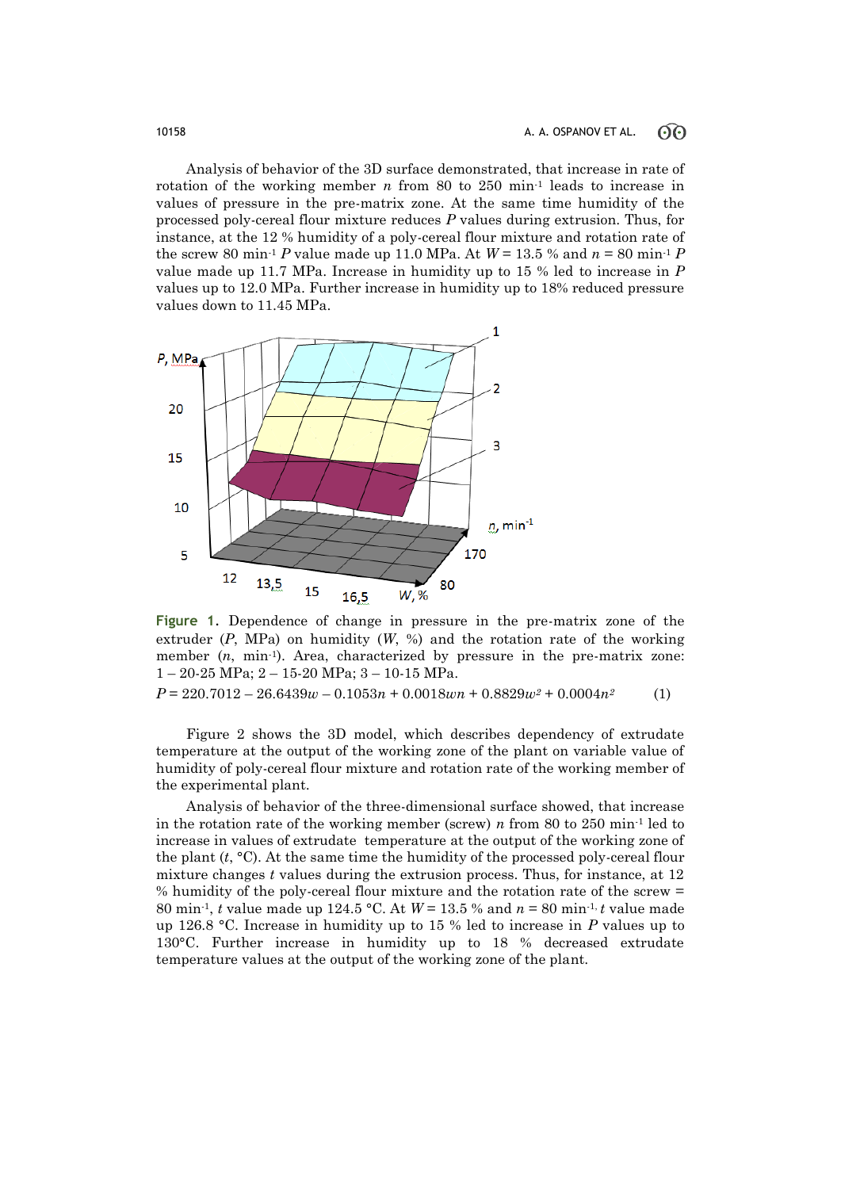Analysis of behavior of the 3D surface demonstrated, that increase in rate of rotation of the working member *n* from 80 to 250 min<sup>-1</sup> leads to increase in values of pressure in the pre-matrix zone. At the same time humidity of the processed poly-cereal flour mixture reduces *P* values during extrusion. Thus, for instance, at the 12 % humidity of a poly-cereal flour mixture and rotation rate of the screw 80 min<sup>-1</sup> *P* value made up 11.0 MPa. At  $W = 13.5$  % and  $n = 80$  min<sup>-1</sup> *P* value made up 11.7 MPa. Increase in humidity up to 15 % led to increase in *P* values up to 12.0 MPa. Further increase in humidity up to 18% reduced pressure values down to 11.45 MPa.



**Figure 1**. Dependence of change in pressure in the pre-matrix zone of the extruder  $(P, MPa)$  on humidity  $(W, %)$  and the rotation rate of the working member  $(n, \text{min}^1)$ . Area, characterized by pressure in the pre-matrix zone: 1 – 20-25 MPa; 2 – 15-20 MPa; 3 – 10-15 MPa.

*P* = 220.7012 – 26.6439*w* – 0.1053*n* + 0.0018*wn* + 0.8829*w<sup>2</sup>* + 0.0004*n2* (1)

Figure 2 shows the 3D model, which describes dependency of extrudate temperature at the output of the working zone of the plant on variable value of humidity of poly-cereal flour mixture and rotation rate of the working member of the experimental plant.

Analysis of behavior of the three-dimensional surface showed, that increase in the rotation rate of the working member (screw) *n* from 80 to 250 min<sup>-1</sup> led to increase in values of extrudate temperature at the output of the working zone of the plant  $(t, \degree C)$ . At the same time the humidity of the processed poly-cereal flour mixture changes *t* values during the extrusion process. Thus, for instance, at 12 % humidity of the poly-cereal flour mixture and the rotation rate of the screw = 80 min-1, *t* value made up 124.5 °C. At *W* = 13.5 % and *n* = 80 min-1, *t* value made up 126.8 °C. Increase in humidity up to 15 % led to increase in *P* values up to 130°C. Further increase in humidity up to 18 % decreased extrudate temperature values at the output of the working zone of the plant.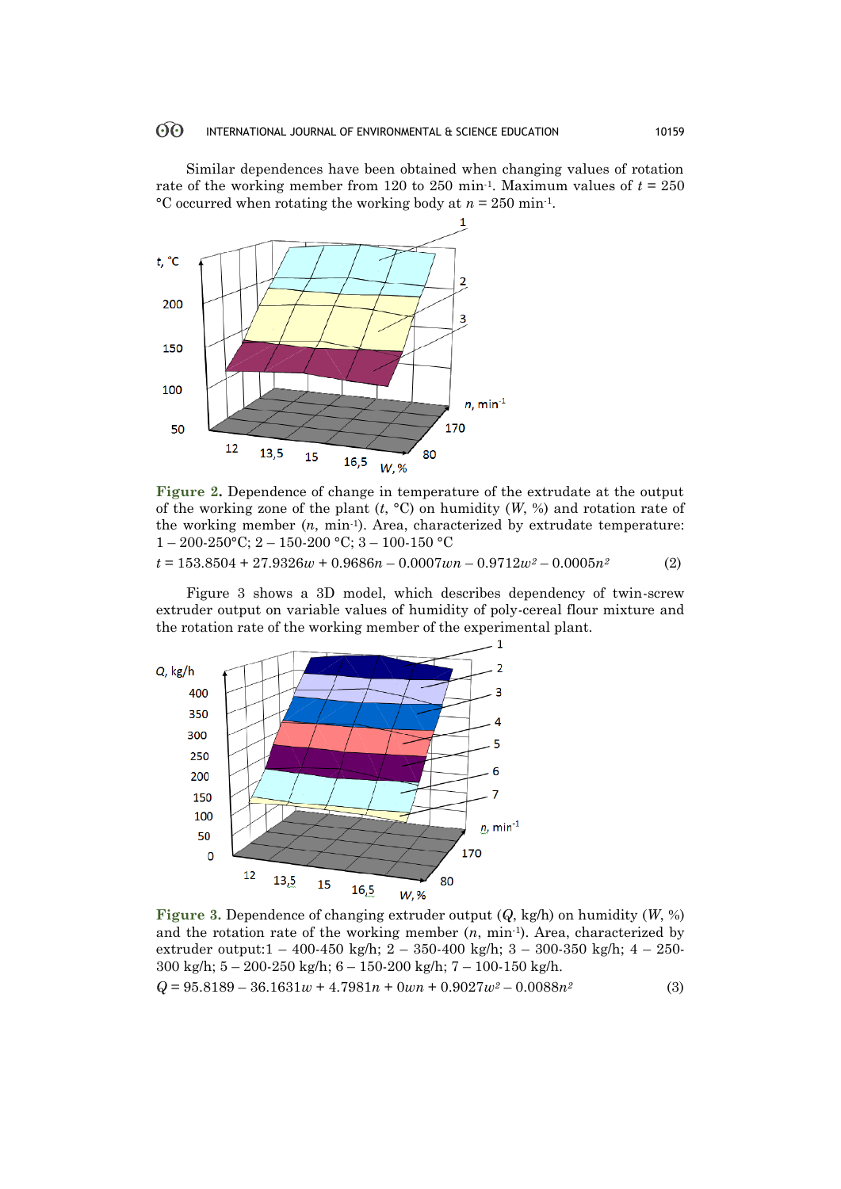#### $60^{\circ}$ INTERNATIONAL JOURNAL OF ENVIRONMENTAL & SCIENCE EDUCATION 10159

Similar dependences have been obtained when changing values of rotation rate of the working member from 120 to 250 min<sup>-1</sup>. Maximum values of  $t = 250$ °C occurred when rotating the working body at *n* = 250 min-1.



**Figure 2.** Dependence of change in temperature of the extrudate at the output of the working zone of the plant (*t*, °C) on humidity (*W*, %) and rotation rate of the working member  $(n, \text{min-1})$ . Area, characterized by extrudate temperature:  $1 - 200 - 250$ °C;  $2 - 150 - 200$ °C;  $3 - 100 - 150$ °C

$$
t = 153.8504 + 27.9326w + 0.9686n - 0.0007wn - 0.9712w^2 - 0.0005n^2
$$
 (2)

Figure 3 shows a 3D model, which describes dependency of twin-screw extruder output on variable values of humidity of poly-cereal flour mixture and the rotation rate of the working member of the experimental plant.



**Figure 3.** Dependence of changing extruder output (*Q*, kg/h) on humidity (*W*, %) and the rotation rate of the working member  $(n, \text{min-1})$ . Area, characterized by extruder output:1 – 400-450 kg/h; 2 – 350-400 kg/h; 3 – 300-350 kg/h; 4 – 250- 300 kg/h; 5 – 200-250 kg/h; 6 – 150-200 kg/h; 7 – 100-150 kg/h.

$$
Q = 95.8189 - 36.1631w + 4.7981n + 0wn + 0.9027w^2 - 0.0088n^2
$$
\n(3)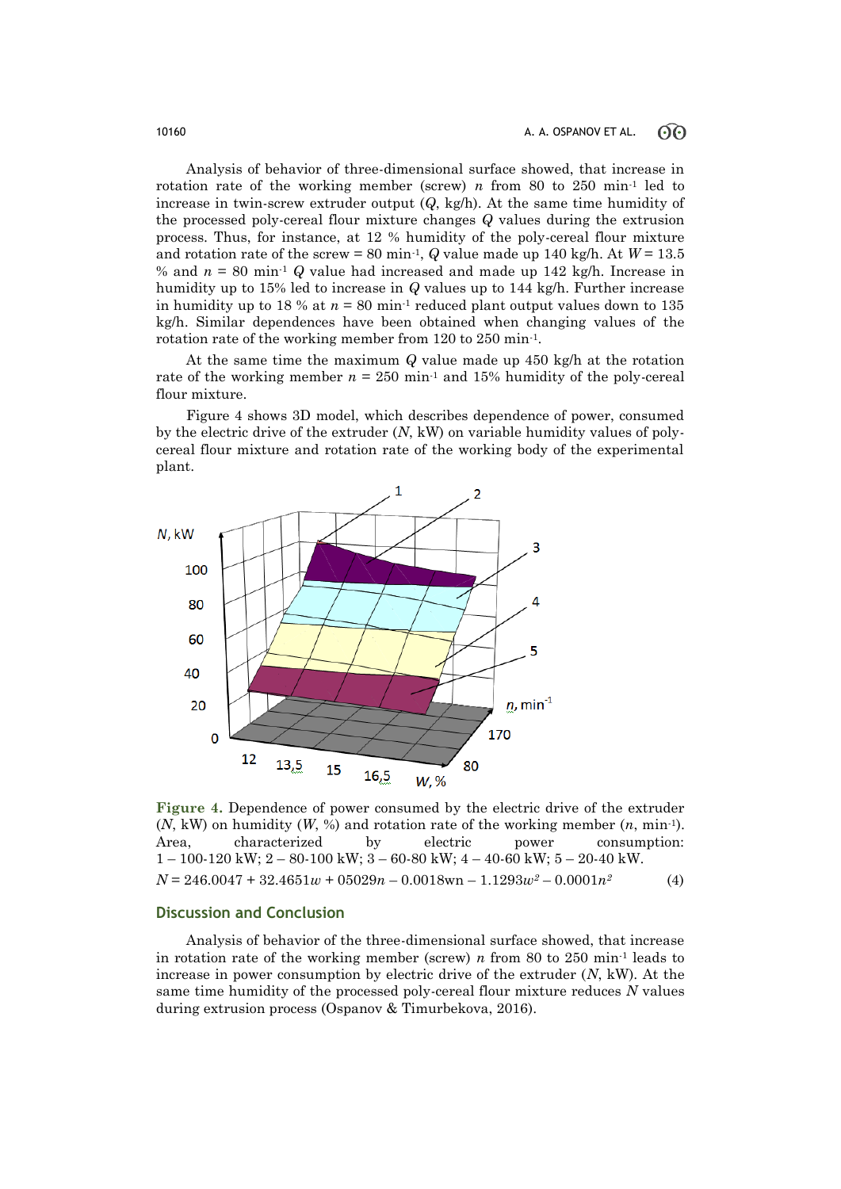Analysis of behavior of three-dimensional surface showed, that increase in rotation rate of the working member (screw) *n* from 80 to 250 min<sup>-1</sup> led to increase in twin-screw extruder output (*Q*, kg/h). At the same time humidity of the processed poly-cereal flour mixture changes *Q* values during the extrusion process. Thus, for instance, at 12 % humidity of the poly-cereal flour mixture and rotation rate of the screw = 80 min<sup>-1</sup>,  $Q$  value made up 140 kg/h. At  $W = 13.5$ % and  $n = 80$  min<sup>-1</sup>  $Q$  value had increased and made up 142 kg/h. Increase in humidity up to 15% led to increase in *Q* values up to 144 kg/h. Further increase in humidity up to 18 % at  $n = 80$  min<sup>-1</sup> reduced plant output values down to 135 kg/h. Similar dependences have been obtained when changing values of the rotation rate of the working member from 120 to 250 min-1.

At the same time the maximum *Q* value made up 450 kg/h at the rotation rate of the working member  $n = 250$  min<sup>-1</sup> and 15% humidity of the poly-cereal flour mixture.

Figure 4 shows 3D model, which describes dependence of power, consumed by the electric drive of the extruder (*N*, kW) on variable humidity values of polycereal flour mixture and rotation rate of the working body of the experimental plant.



**Figure 4.** Dependence of power consumed by the electric drive of the extruder (*N*, kW) on humidity (*W*, %) and rotation rate of the working member (*n*, min-1). Area, characterized by electric power consumption: 1 – 100-120 kW; 2 – 80-100 kW; 3 – 60-80 kW; 4 – 40-60 kW; 5 – 20-40 kW.  $N = 246.0047 + 32.4651w + 05029n - 0.0018w - 1.1293w^2 - 0.0001n^2$  (4)

## **Discussion and Conclusion**

Analysis of behavior of the three-dimensional surface showed, that increase in rotation rate of the working member (screw) *n* from 80 to 250 min<sup>-1</sup> leads to increase in power consumption by electric drive of the extruder (*N*, kW). At the same time humidity of the processed poly-cereal flour mixture reduces *N* values during extrusion process (Ospanov & Timurbekova, 2016).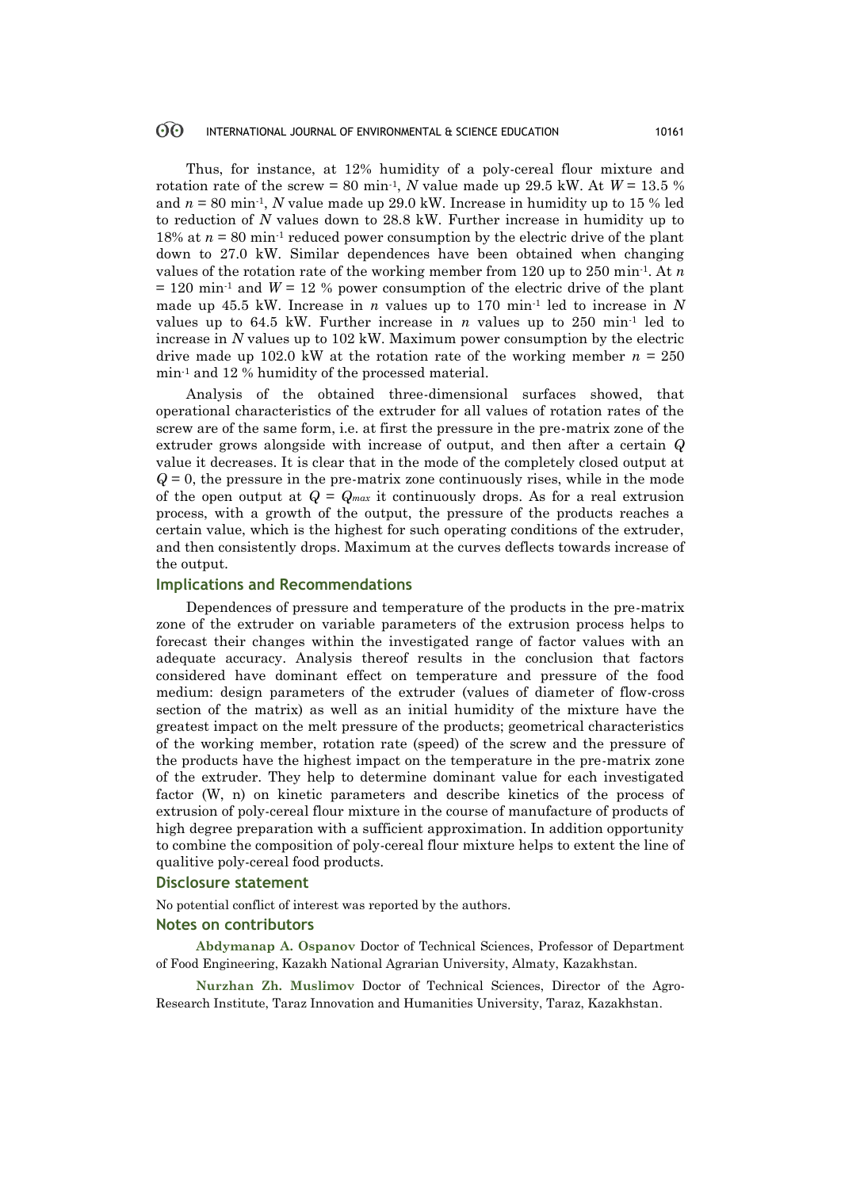#### $\odot$ INTERNATIONAL JOURNAL OF ENVIRONMENTAL & SCIENCE EDUCATION 10161

Thus, for instance, at 12% humidity of a poly-cereal flour mixture and rotation rate of the screw = 80 min<sup>-1</sup>, *N* value made up 29.5 kW. At  $W = 13.5 \%$ and  $n = 80$  min<sup>-1</sup>, *N* value made up 29.0 kW. Increase in humidity up to 15 % led to reduction of *N* values down to 28.8 kW. Further increase in humidity up to 18% at  $n = 80$  min<sup>-1</sup> reduced power consumption by the electric drive of the plant down to 27.0 kW. Similar dependences have been obtained when changing values of the rotation rate of the working member from 120 up to 250 min-1. At *n*   $= 120$  min<sup>-1</sup> and  $W = 12$  % power consumption of the electric drive of the plant made up 45.5 kW. Increase in *n* values up to 170 min<sup>-1</sup> led to increase in N values up to  $64.5$  kW. Further increase in *n* values up to  $250 \text{ min}$ <sup>1</sup> led to increase in *N* values up to 102 kW. Maximum power consumption by the electric drive made up 102.0 kW at the rotation rate of the working member  $n = 250$ min-1 and 12 % humidity of the processed material.

Analysis of the obtained three-dimensional surfaces showed, that operational characteristics of the extruder for all values of rotation rates of the screw are of the same form, i.e. at first the pressure in the pre-matrix zone of the extruder grows alongside with increase of output, and then after a certain *Q* value it decreases. It is clear that in the mode of the completely closed output at  $Q = 0$ , the pressure in the pre-matrix zone continuously rises, while in the mode of the open output at  $Q = Q_{max}$  it continuously drops. As for a real extrusion process, with a growth of the output, the pressure of the products reaches a certain value, which is the highest for such operating conditions of the extruder, and then consistently drops. Maximum at the curves deflects towards increase of the output.

## **Implications and Recommendations**

Dependences of pressure and temperature of the products in the pre-matrix zone of the extruder on variable parameters of the extrusion process helps to forecast their changes within the investigated range of factor values with an adequate accuracy. Analysis thereof results in the conclusion that factors considered have dominant effect on temperature and pressure of the food medium: design parameters of the extruder (values of diameter of flow-cross section of the matrix) as well as an initial humidity of the mixture have the greatest impact on the melt pressure of the products; geometrical characteristics of the working member, rotation rate (speed) of the screw and the pressure of the products have the highest impact on the temperature in the pre-matrix zone of the extruder. They help to determine dominant value for each investigated factor (W, n) on kinetic parameters and describe kinetics of the process of extrusion of poly-cereal flour mixture in the course of manufacture of products of high degree preparation with a sufficient approximation. In addition opportunity to combine the composition of poly-cereal flour mixture helps to extent the line of qualitive poly-cereal food products.

### **Disclosure statement**

No potential conflict of interest was reported by the authors.

### **Notes on contributors**

**Аbdymanap А. Ospanov** Doctor of Technical Sciences, Professor of Department of Food Engineering, Kazakh National Agrarian University, Almaty, Kazakhstan.

**Nurzhan Zh. Muslimov** Doctor of Technical Sciences, Director of the Аgro-Research Institute, Taraz Innovation and Humanities University, Taraz, Kazakhstan.